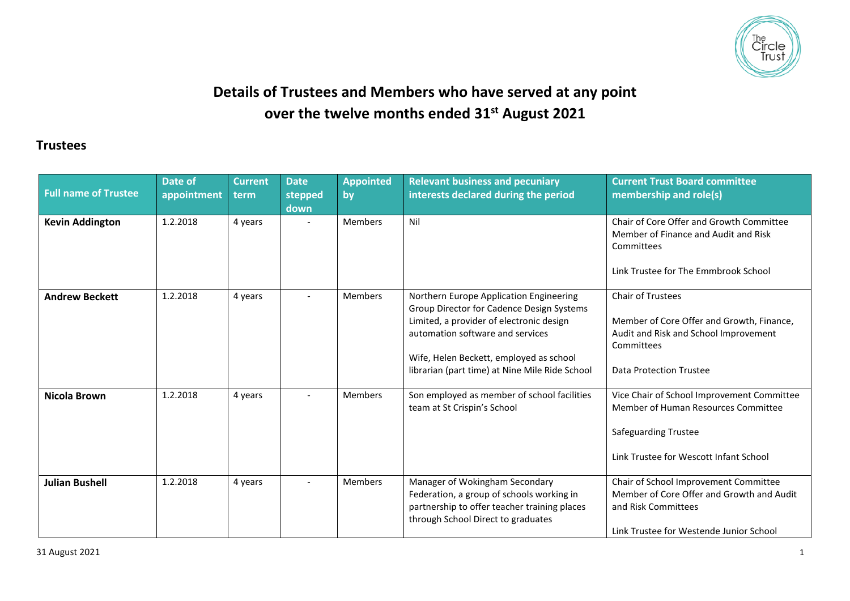

## **Details of Trustees and Members who have served at any point over the twelve months ended 31st August 2021**

## **Trustees**

| <b>Full name of Trustee</b> | Date of<br>appointment | <b>Current</b><br>term | <b>Date</b><br>stepped<br>down | <b>Appointed</b><br>by | <b>Relevant business and pecuniary</b><br>interests declared during the period                                                                                                                                                                                    | <b>Current Trust Board committee</b><br>membership and role(s)                                                                                             |
|-----------------------------|------------------------|------------------------|--------------------------------|------------------------|-------------------------------------------------------------------------------------------------------------------------------------------------------------------------------------------------------------------------------------------------------------------|------------------------------------------------------------------------------------------------------------------------------------------------------------|
| <b>Kevin Addington</b>      | 1.2.2018               | 4 years                | $\overline{\phantom{a}}$       | <b>Members</b>         | Nil                                                                                                                                                                                                                                                               | Chair of Core Offer and Growth Committee<br>Member of Finance and Audit and Risk<br>Committees<br>Link Trustee for The Emmbrook School                     |
| <b>Andrew Beckett</b>       | 1.2.2018               | 4 years                |                                | Members                | Northern Europe Application Engineering<br>Group Director for Cadence Design Systems<br>Limited, a provider of electronic design<br>automation software and services<br>Wife, Helen Beckett, employed as school<br>librarian (part time) at Nine Mile Ride School | Chair of Trustees<br>Member of Core Offer and Growth, Finance,<br>Audit and Risk and School Improvement<br>Committees<br>Data Protection Trustee           |
| Nicola Brown                | 1.2.2018               | 4 years                |                                | Members                | Son employed as member of school facilities<br>team at St Crispin's School                                                                                                                                                                                        | Vice Chair of School Improvement Committee<br>Member of Human Resources Committee<br><b>Safeguarding Trustee</b><br>Link Trustee for Wescott Infant School |
| <b>Julian Bushell</b>       | 1.2.2018               | 4 years                |                                | <b>Members</b>         | Manager of Wokingham Secondary<br>Federation, a group of schools working in<br>partnership to offer teacher training places<br>through School Direct to graduates                                                                                                 | Chair of School Improvement Committee<br>Member of Core Offer and Growth and Audit<br>and Risk Committees<br>Link Trustee for Westende Junior School       |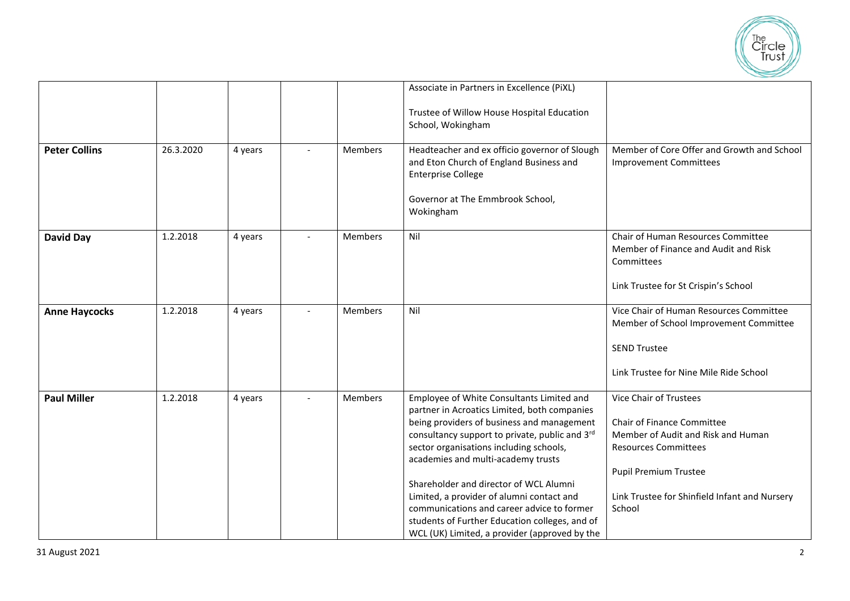

|                      |           |         |                |         | Associate in Partners in Excellence (PiXL)                                                 |                                                         |
|----------------------|-----------|---------|----------------|---------|--------------------------------------------------------------------------------------------|---------------------------------------------------------|
|                      |           |         |                |         | Trustee of Willow House Hospital Education                                                 |                                                         |
|                      |           |         |                |         | School, Wokingham                                                                          |                                                         |
|                      |           |         |                |         |                                                                                            |                                                         |
| <b>Peter Collins</b> | 26.3.2020 | 4 years |                | Members | Headteacher and ex officio governor of Slough                                              | Member of Core Offer and Growth and School              |
|                      |           |         |                |         | and Eton Church of England Business and<br><b>Enterprise College</b>                       | <b>Improvement Committees</b>                           |
|                      |           |         |                |         |                                                                                            |                                                         |
|                      |           |         |                |         | Governor at The Emmbrook School,                                                           |                                                         |
|                      |           |         |                |         | Wokingham                                                                                  |                                                         |
|                      |           |         |                |         |                                                                                            |                                                         |
| <b>David Day</b>     | 1.2.2018  | 4 years |                | Members | Nil                                                                                        | Chair of Human Resources Committee                      |
|                      |           |         |                |         |                                                                                            | Member of Finance and Audit and Risk<br>Committees      |
|                      |           |         |                |         |                                                                                            |                                                         |
|                      |           |         |                |         |                                                                                            | Link Trustee for St Crispin's School                    |
|                      |           |         |                |         |                                                                                            |                                                         |
| <b>Anne Haycocks</b> | 1.2.2018  | 4 years | $\blacksquare$ | Members | Nil                                                                                        | Vice Chair of Human Resources Committee                 |
|                      |           |         |                |         |                                                                                            | Member of School Improvement Committee                  |
|                      |           |         |                |         |                                                                                            | <b>SEND Trustee</b>                                     |
|                      |           |         |                |         |                                                                                            |                                                         |
|                      |           |         |                |         |                                                                                            | Link Trustee for Nine Mile Ride School                  |
|                      |           |         |                |         |                                                                                            |                                                         |
| <b>Paul Miller</b>   | 1.2.2018  | 4 years |                | Members | Employee of White Consultants Limited and                                                  | <b>Vice Chair of Trustees</b>                           |
|                      |           |         |                |         | partner in Acroatics Limited, both companies<br>being providers of business and management | Chair of Finance Committee                              |
|                      |           |         |                |         | consultancy support to private, public and 3rd                                             | Member of Audit and Risk and Human                      |
|                      |           |         |                |         | sector organisations including schools,                                                    | <b>Resources Committees</b>                             |
|                      |           |         |                |         | academies and multi-academy trusts                                                         |                                                         |
|                      |           |         |                |         |                                                                                            | <b>Pupil Premium Trustee</b>                            |
|                      |           |         |                |         | Shareholder and director of WCL Alumni                                                     |                                                         |
|                      |           |         |                |         | Limited, a provider of alumni contact and<br>communications and career advice to former    | Link Trustee for Shinfield Infant and Nursery<br>School |
|                      |           |         |                |         | students of Further Education colleges, and of                                             |                                                         |
|                      |           |         |                |         | WCL (UK) Limited, a provider (approved by the                                              |                                                         |
|                      |           |         |                |         |                                                                                            |                                                         |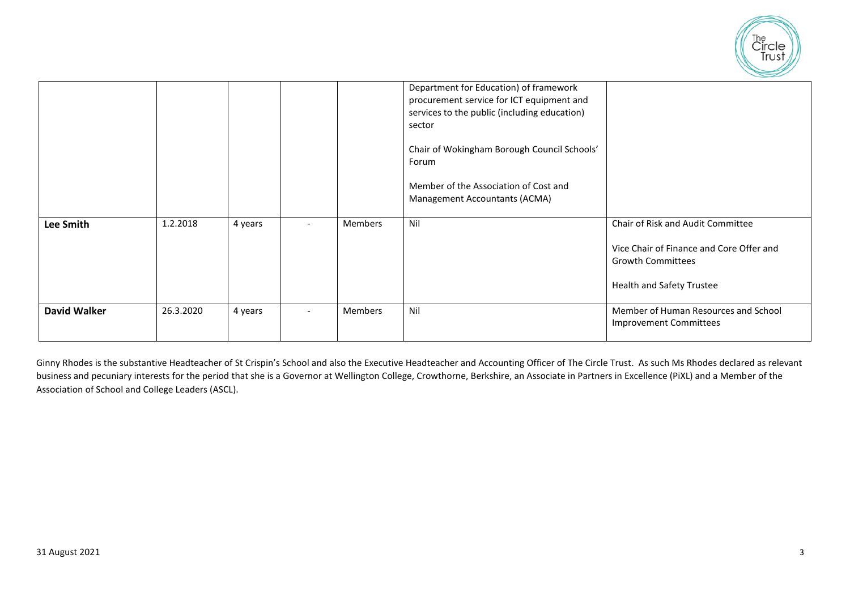

|                     |           |         |                          |                | Department for Education) of framework<br>procurement service for ICT equipment and<br>services to the public (including education)<br>sector<br>Chair of Wokingham Borough Council Schools'<br>Forum<br>Member of the Association of Cost and<br><b>Management Accountants (ACMA)</b> |                                                                                                                                               |
|---------------------|-----------|---------|--------------------------|----------------|----------------------------------------------------------------------------------------------------------------------------------------------------------------------------------------------------------------------------------------------------------------------------------------|-----------------------------------------------------------------------------------------------------------------------------------------------|
| <b>Lee Smith</b>    | 1.2.2018  | 4 years |                          | Members        | Nil                                                                                                                                                                                                                                                                                    | Chair of Risk and Audit Committee<br>Vice Chair of Finance and Core Offer and<br><b>Growth Committees</b><br><b>Health and Safety Trustee</b> |
| <b>David Walker</b> | 26.3.2020 | 4 years | $\overline{\phantom{a}}$ | <b>Members</b> | Nil                                                                                                                                                                                                                                                                                    | Member of Human Resources and School<br><b>Improvement Committees</b>                                                                         |

Ginny Rhodes is the substantive Headteacher of St Crispin's School and also the Executive Headteacher and Accounting Officer of The Circle Trust. As such Ms Rhodes declared as relevant business and pecuniary interests for the period that she is a Governor at Wellington College, Crowthorne, Berkshire, an Associate in Partners in Excellence (PiXL) and a Member of the Association of School and College Leaders (ASCL).